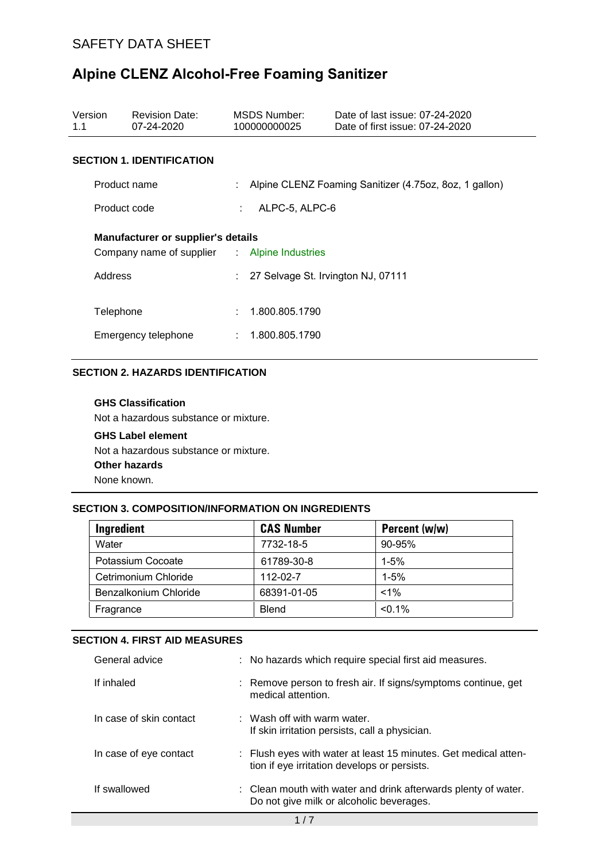| Version<br>1.1                                                                                | <b>Revision Date:</b><br>07-24-2020 |   | MSDS Number:<br>100000000025         | Date of last issue: 07-24-2020<br>Date of first issue: 07-24-2020 |  |  |
|-----------------------------------------------------------------------------------------------|-------------------------------------|---|--------------------------------------|-------------------------------------------------------------------|--|--|
|                                                                                               | <b>SECTION 1. IDENTIFICATION</b>    |   |                                      |                                                                   |  |  |
|                                                                                               | Product name                        |   |                                      | Alpine CLENZ Foaming Sanitizer (4.75oz, 8oz, 1 gallon)            |  |  |
|                                                                                               | Product code                        |   | ALPC-5, ALPC-6<br>÷.                 |                                                                   |  |  |
| Manufacturer or supplier's details<br>Company name of supplier : Alpine Industries<br>Address |                                     |   | : 27 Selvage St. Irvington NJ, 07111 |                                                                   |  |  |
| Telephone                                                                                     | Emergency telephone                 | ÷ | 1.800.805.1790<br>1.800.805.1790     |                                                                   |  |  |

#### **SECTION 2. HAZARDS IDENTIFICATION**

#### **GHS Classification**

Not a hazardous substance or mixture.

**GHS Label element**  Not a hazardous substance or mixture. **Other hazards** None known.

### **SECTION 3. COMPOSITION/INFORMATION ON INGREDIENTS**

| Ingredient            | <b>CAS Number</b> | Percent (w/w) |
|-----------------------|-------------------|---------------|
| Water                 | 7732-18-5         | 90-95%        |
| Potassium Cocoate     | 61789-30-8        | $1 - 5%$      |
| Cetrimonium Chloride  | 112-02-7          | $1 - 5%$      |
| Benzalkonium Chloride | 68391-01-05       | $< 1\%$       |
| Fragrance             | <b>Blend</b>      | $< 0.1\%$     |

#### **SECTION 4. FIRST AID MEASURES**

| General advice          | : No hazards which require special first aid measures.                                                          |
|-------------------------|-----------------------------------------------------------------------------------------------------------------|
| If inhaled              | : Remove person to fresh air. If signs/symptoms continue, get<br>medical attention.                             |
| In case of skin contact | $\therefore$ Wash off with warm water.<br>If skin irritation persists, call a physician.                        |
| In case of eye contact  | : Flush eyes with water at least 15 minutes. Get medical atten-<br>tion if eye irritation develops or persists. |
| If swallowed            | : Clean mouth with water and drink afterwards plenty of water.<br>Do not give milk or alcoholic beverages.      |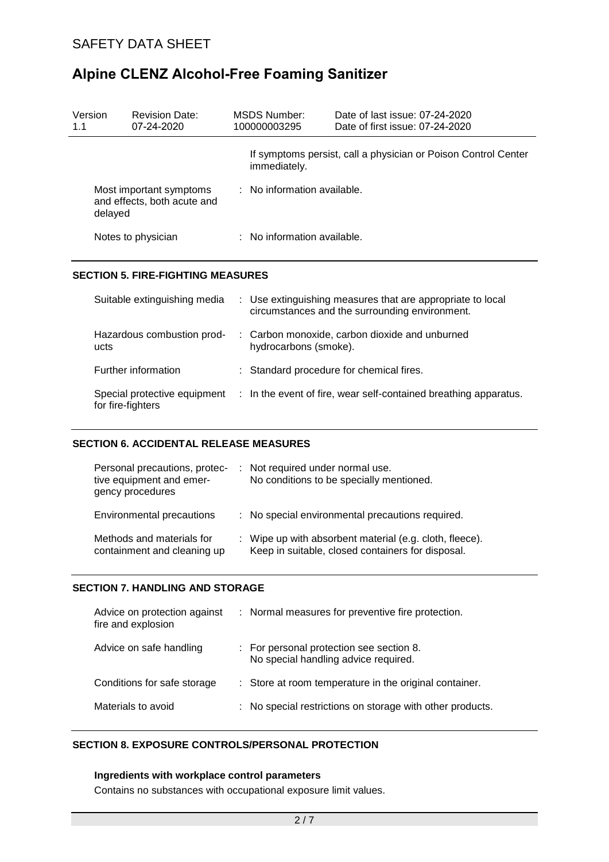| Version<br>1.1                                                    | <b>Revision Date:</b><br>$07 - 24 - 2020$ | MSDS Number:<br>100000003295 | Date of last issue: 07-24-2020<br>Date of first issue: 07-24-2020 |  |  |
|-------------------------------------------------------------------|-------------------------------------------|------------------------------|-------------------------------------------------------------------|--|--|
|                                                                   |                                           | immediately.                 | If symptoms persist, call a physician or Poison Control Center    |  |  |
| Most important symptoms<br>and effects, both acute and<br>delayed |                                           | : No information available.  |                                                                   |  |  |
|                                                                   | Notes to physician                        | : No information available.  |                                                                   |  |  |
|                                                                   |                                           |                              |                                                                   |  |  |

## **SECTION 5. FIRE-FIGHTING MEASURES**

| Suitable extinguishing media                      |                       | : Use extinguishing measures that are appropriate to local<br>circumstances and the surrounding environment. |
|---------------------------------------------------|-----------------------|--------------------------------------------------------------------------------------------------------------|
| Hazardous combustion prod-<br>ucts                | hydrocarbons (smoke). | : Carbon monoxide, carbon dioxide and unburned                                                               |
| Further information                               |                       | : Standard procedure for chemical fires.                                                                     |
| Special protective equipment<br>for fire-fighters |                       | : In the event of fire, wear self-contained breathing apparatus.                                             |

#### **SECTION 6. ACCIDENTAL RELEASE MEASURES**

| Personal precautions, protec-<br>tive equipment and emer-<br>gency procedures | : Not required under normal use.<br>No conditions to be specially mentioned.                                 |
|-------------------------------------------------------------------------------|--------------------------------------------------------------------------------------------------------------|
| Environmental precautions                                                     | : No special environmental precautions required.                                                             |
| Methods and materials for<br>containment and cleaning up                      | : Wipe up with absorbent material (e.g. cloth, fleece).<br>Keep in suitable, closed containers for disposal. |

#### **SECTION 7. HANDLING AND STORAGE**

| Advice on protection against<br>fire and explosion | : Normal measures for preventive fire protection.                                |
|----------------------------------------------------|----------------------------------------------------------------------------------|
| Advice on safe handling                            | : For personal protection see section 8.<br>No special handling advice required. |
| Conditions for safe storage                        | : Store at room temperature in the original container.                           |
| Materials to avoid                                 | : No special restrictions on storage with other products.                        |

### **SECTION 8. EXPOSURE CONTROLS/PERSONAL PROTECTION**

#### **Ingredients with workplace control parameters**

Contains no substances with occupational exposure limit values.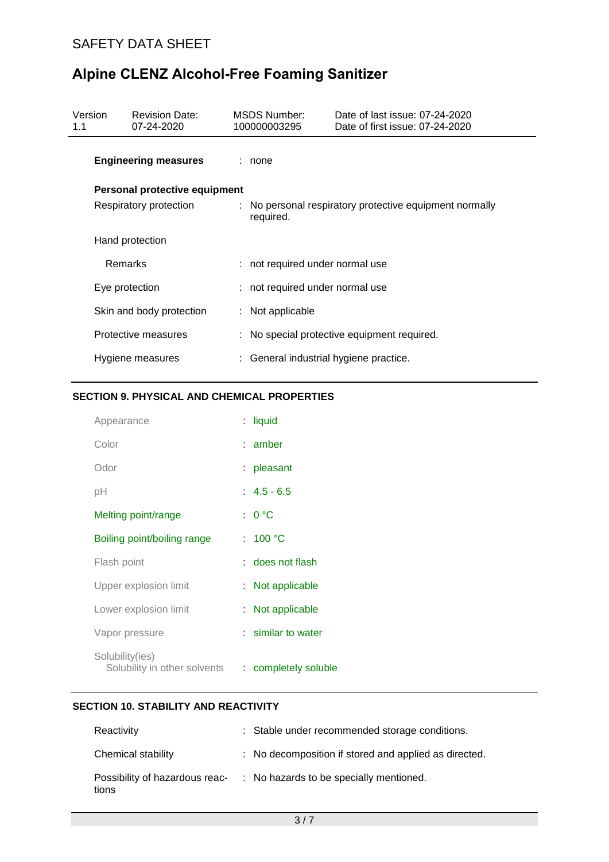| Version<br>1.1 |                | <b>Revision Date:</b><br>07-24-2020 | MSDS Number:<br>100000003295           | Date of last issue: 07-24-2020<br>Date of first issue: 07-24-2020 |
|----------------|----------------|-------------------------------------|----------------------------------------|-------------------------------------------------------------------|
|                |                | <b>Engineering measures</b>         | : none                                 |                                                                   |
|                |                | Personal protective equipment       |                                        |                                                                   |
|                |                | Respiratory protection              | required.                              | : No personal respiratory protective equipment normally           |
|                |                | Hand protection                     |                                        |                                                                   |
|                | <b>Remarks</b> |                                     | : not required under normal use        |                                                                   |
|                | Eye protection |                                     | : not required under normal use        |                                                                   |
|                |                | Skin and body protection            | $:$ Not applicable                     |                                                                   |
|                |                | Protective measures                 |                                        | : No special protective equipment required.                       |
|                |                | Hygiene measures                    | : General industrial hygiene practice. |                                                                   |

## **SECTION 9. PHYSICAL AND CHEMICAL PROPERTIES**

| Appearance                                      |    | : liquid             |
|-------------------------------------------------|----|----------------------|
| Color                                           |    | $:$ amber            |
| Odor                                            |    | : pleasant           |
| рH                                              |    | $: 4.5 - 6.5$        |
| Melting point/range                             |    | : 0 °C               |
| Boiling point/boiling range                     |    | : $100 °C$           |
| Flash point                                     |    | : does not flash     |
| Upper explosion limit                           |    | : Not applicable     |
| Lower explosion limit                           | t. | Not applicable       |
| Vapor pressure                                  |    | : similar to water   |
| Solubility(ies)<br>Solubility in other solvents |    | : completely soluble |

## **SECTION 10. STABILITY AND REACTIVITY**

| Reactivity                              | : Stable under recommended storage conditions.        |
|-----------------------------------------|-------------------------------------------------------|
| Chemical stability                      | : No decomposition if stored and applied as directed. |
| Possibility of hazardous reac-<br>tions | : No hazards to be specially mentioned.               |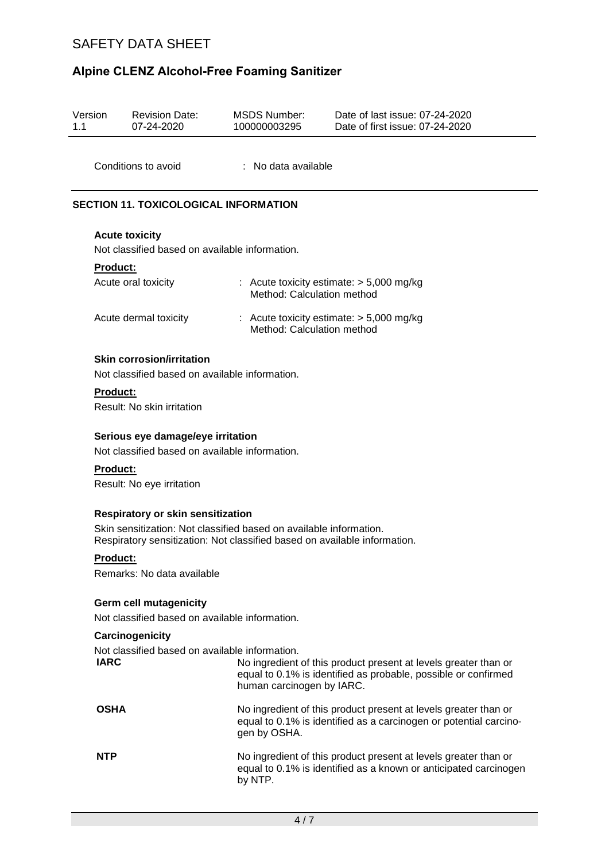## SAFETY DATA SHEET

# **Alpine CLENZ Alcohol-Free Foaming Sanitizer**

| Version<br>1.1 | <b>Revision Date:</b><br>07-24-2020                                                                                                                                                         | <b>MSDS Number:</b><br>100000003295                                      | Date of last issue: 07-24-2020<br>Date of first issue: 07-24-2020                                                                    |
|----------------|---------------------------------------------------------------------------------------------------------------------------------------------------------------------------------------------|--------------------------------------------------------------------------|--------------------------------------------------------------------------------------------------------------------------------------|
|                | Conditions to avoid                                                                                                                                                                         | : No data available                                                      |                                                                                                                                      |
|                | <b>SECTION 11. TOXICOLOGICAL INFORMATION</b>                                                                                                                                                |                                                                          |                                                                                                                                      |
|                | <b>Acute toxicity</b><br>Not classified based on available information.                                                                                                                     |                                                                          |                                                                                                                                      |
|                | <b>Product:</b><br>Acute oral toxicity                                                                                                                                                      | : Acute toxicity estimate: $> 5,000$ mg/kg<br>Method: Calculation method |                                                                                                                                      |
|                | Acute dermal toxicity                                                                                                                                                                       | : Acute toxicity estimate: $> 5,000$ mg/kg<br>Method: Calculation method |                                                                                                                                      |
|                | <b>Skin corrosion/irritation</b><br>Not classified based on available information.                                                                                                          |                                                                          |                                                                                                                                      |
|                | <b>Product:</b><br>Result: No skin irritation                                                                                                                                               |                                                                          |                                                                                                                                      |
|                | Serious eye damage/eye irritation<br>Not classified based on available information.                                                                                                         |                                                                          |                                                                                                                                      |
|                | Product:<br>Result: No eye irritation                                                                                                                                                       |                                                                          |                                                                                                                                      |
|                | <b>Respiratory or skin sensitization</b><br>Skin sensitization: Not classified based on available information.<br>Respiratory sensitization: Not classified based on available information. |                                                                          |                                                                                                                                      |
|                | <b>Product:</b><br>Remarks: No data available                                                                                                                                               |                                                                          |                                                                                                                                      |
|                | <b>Germ cell mutagenicity</b><br>Not classified based on available information.                                                                                                             |                                                                          |                                                                                                                                      |
|                | Carcinogenicity                                                                                                                                                                             |                                                                          |                                                                                                                                      |
|                | Not classified based on available information.<br><b>IARC</b>                                                                                                                               | human carcinogen by IARC.                                                | No ingredient of this product present at levels greater than or<br>equal to 0.1% is identified as probable, possible or confirmed    |
|                | <b>OSHA</b>                                                                                                                                                                                 | gen by OSHA.                                                             | No ingredient of this product present at levels greater than or<br>equal to 0.1% is identified as a carcinogen or potential carcino- |
|                | <b>NTP</b>                                                                                                                                                                                  | by NTP.                                                                  | No ingredient of this product present at levels greater than or<br>equal to 0.1% is identified as a known or anticipated carcinogen  |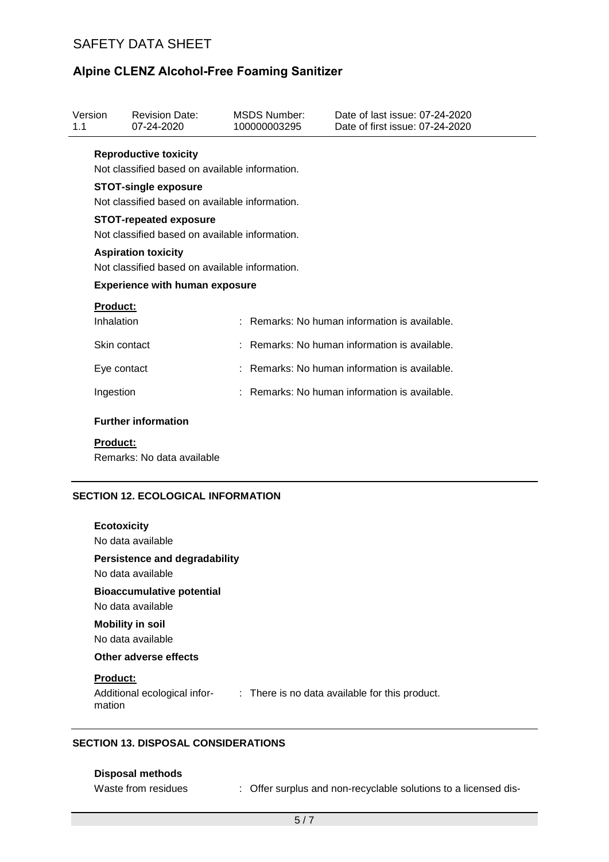## SAFETY DATA SHEET

## **Alpine CLENZ Alcohol-Free Foaming Sanitizer**

| 1.1 | Version<br><b>Revision Date:</b><br>07-24-2020                                |                                                                                 |  | <b>MSDS Number:</b><br>100000003295 | Date of last issue: 07-24-2020<br>Date of first issue: 07-24-2020 |  |  |  |
|-----|-------------------------------------------------------------------------------|---------------------------------------------------------------------------------|--|-------------------------------------|-------------------------------------------------------------------|--|--|--|
|     |                                                                               | <b>Reproductive toxicity</b><br>Not classified based on available information.  |  |                                     |                                                                   |  |  |  |
|     | <b>STOT-single exposure</b><br>Not classified based on available information. |                                                                                 |  |                                     |                                                                   |  |  |  |
|     |                                                                               | <b>STOT-repeated exposure</b><br>Not classified based on available information. |  |                                     |                                                                   |  |  |  |
|     | <b>Aspiration toxicity</b><br>Not classified based on available information.  |                                                                                 |  |                                     |                                                                   |  |  |  |
|     | <b>Experience with human exposure</b>                                         |                                                                                 |  |                                     |                                                                   |  |  |  |
|     | <b>Product:</b><br>Inhalation                                                 |                                                                                 |  |                                     | Remarks: No human information is available.                       |  |  |  |
|     | Skin contact                                                                  |                                                                                 |  |                                     | Remarks: No human information is available.                       |  |  |  |
|     | Eye contact                                                                   |                                                                                 |  |                                     | : Remarks: No human information is available.                     |  |  |  |
|     | Ingestion                                                                     |                                                                                 |  |                                     | $\therefore$ Remarks: No human information is available.          |  |  |  |
|     |                                                                               | <b>Further information</b>                                                      |  |                                     |                                                                   |  |  |  |
|     | <b>Product:</b>                                                               | Remarks: No data available                                                      |  |                                     |                                                                   |  |  |  |

### **SECTION 12. ECOLOGICAL INFORMATION**

| <b>Ecotoxicity</b><br>No data available                                                                     |
|-------------------------------------------------------------------------------------------------------------|
| <b>Persistence and degradability</b><br>No data available                                                   |
| <b>Bioaccumulative potential</b><br>No data available                                                       |
| <b>Mobility in soil</b><br>No data available                                                                |
| Other adverse effects                                                                                       |
| <b>Product:</b><br>Additional ecological infor-<br>: There is no data available for this product.<br>mation |
|                                                                                                             |

### **SECTION 13. DISPOSAL CONSIDERATIONS**

### **Disposal methods**

Waste from residues : Offer surplus and non-recyclable solutions to a licensed dis-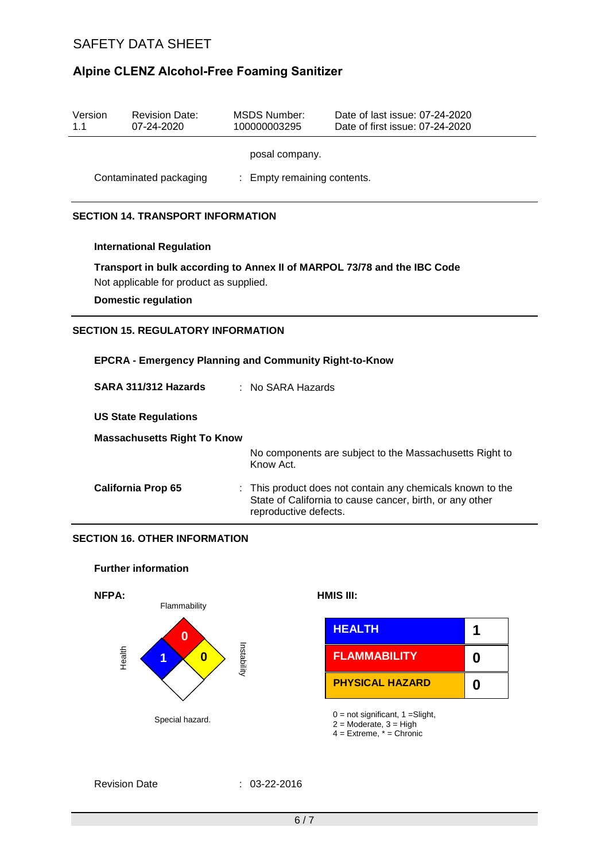## SAFETY DATA SHEET

## **Alpine CLENZ Alcohol-Free Foaming Sanitizer**

| Version<br>1.1                                                | <b>Revision Date:</b><br>07-24-2020                                                                                                               | <b>MSDS Number:</b><br>100000003295 | Date of last issue: 07-24-2020<br>Date of first issue: 07-24-2020                                                                             |  |  |  |  |  |
|---------------------------------------------------------------|---------------------------------------------------------------------------------------------------------------------------------------------------|-------------------------------------|-----------------------------------------------------------------------------------------------------------------------------------------------|--|--|--|--|--|
|                                                               | posal company.                                                                                                                                    |                                     |                                                                                                                                               |  |  |  |  |  |
|                                                               | Contaminated packaging<br>: Empty remaining contents.                                                                                             |                                     |                                                                                                                                               |  |  |  |  |  |
| <b>SECTION 14. TRANSPORT INFORMATION</b>                      |                                                                                                                                                   |                                     |                                                                                                                                               |  |  |  |  |  |
|                                                               | <b>International Regulation</b>                                                                                                                   |                                     |                                                                                                                                               |  |  |  |  |  |
|                                                               | Transport in bulk according to Annex II of MARPOL 73/78 and the IBC Code<br>Not applicable for product as supplied.<br><b>Domestic regulation</b> |                                     |                                                                                                                                               |  |  |  |  |  |
|                                                               | <b>SECTION 15. REGULATORY INFORMATION</b>                                                                                                         |                                     |                                                                                                                                               |  |  |  |  |  |
| <b>EPCRA - Emergency Planning and Community Right-to-Know</b> |                                                                                                                                                   |                                     |                                                                                                                                               |  |  |  |  |  |
|                                                               | SARA 311/312 Hazards<br>$:$ No SARA Hazards                                                                                                       |                                     |                                                                                                                                               |  |  |  |  |  |
| <b>US State Regulations</b>                                   |                                                                                                                                                   |                                     |                                                                                                                                               |  |  |  |  |  |
| <b>Massachusetts Right To Know</b>                            |                                                                                                                                                   |                                     |                                                                                                                                               |  |  |  |  |  |
|                                                               |                                                                                                                                                   | Know Act.                           | No components are subject to the Massachusetts Right to                                                                                       |  |  |  |  |  |
| <b>California Prop 65</b>                                     |                                                                                                                                                   |                                     | This product does not contain any chemicals known to the<br>State of California to cause cancer, birth, or any other<br>reproductive defects. |  |  |  |  |  |
|                                                               | <b>SECTION 16. OTHER INFORMATION</b>                                                                                                              |                                     |                                                                                                                                               |  |  |  |  |  |
|                                                               | <b>Further information</b>                                                                                                                        |                                     |                                                                                                                                               |  |  |  |  |  |
|                                                               | NFPA:<br>Flammability                                                                                                                             |                                     | HMIS III:                                                                                                                                     |  |  |  |  |  |
|                                                               |                                                                                                                                                   |                                     | <b>HEALTH</b><br>1                                                                                                                            |  |  |  |  |  |

**0 6 ELAMMABILITY** 

Special hazard. 0 = not significant, 1 =Slight, 2 = Moderate, 3 = High

**PHYSICAL HAZARD**

4 = Extreme, \* = Chronic

**0**

**0**

Revision Date : 03-22-2016

Instability

Health

**1**